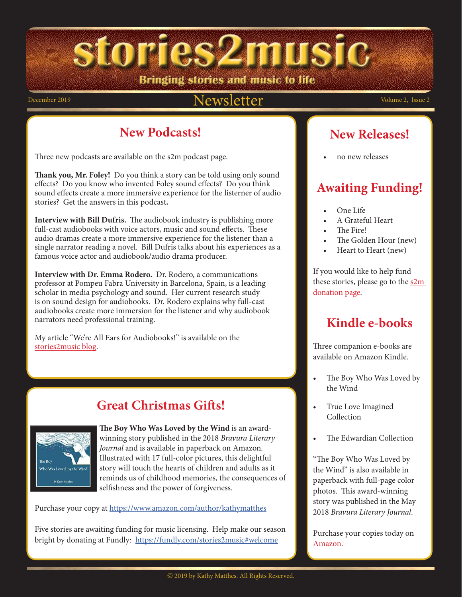Bringing stories and music to life

stories2music

#### December 2019 Volume 2, Issue 2

#### **New Podcasts!**

Three new podcasts are available on the s2m podcast page.

**Thank you, Mr. Foley!** Do you think a story can be told using only sound effects? Do you know who invented Foley sound effects? Do you think sound effects create a more immersive experience for the listerner of audio stories? Get the answers in this podcast**.**

**Interview with Bill Dufris.** The audiobook industry is publishing more full-cast audiobooks with voice actors, music and sound effects. These audio dramas create a more immersive experience for the listener than a single narrator reading a novel. Bill Dufris talks about his experiences as a famous voice actor and audiobook/audio drama producer.

**Interview with Dr. Emma Rodero.** Dr. Rodero, a communications professor at Pompeu Fabra University in Barcelona, Spain, is a leading scholar in media psychology and sound. Her current research study is on sound design for audiobooks. Dr. Rodero explains why full-cast audiobooks create more immersion for the listener and why audiobook narrators need professional training.

My article "We're All Ears for Audiobooks!" is available on the [stories2music blog.](http://kmatthes.edublogs.org/)

#### **Great Christmas Gifts!**



**The Boy Who Was Loved by the Wind** is an awardwinning story published in the 2018 *Bravura Literary Journal* and is available in paperback on Amazon*.*  Illustrated with 17 full-color pictures, this delightful story will touch the hearts of children and adults as it reminds us of childhood memories, the consequences of selfishness and the power of forgiveness.

Purchase your copy at https://www.amazon.com/author/kathymatthes

Five stories are awaiting funding for music licensing. Help make our season bright by donating at Fundly: <https://fundly.com/stories2music#welcome>

#### **New Releases!**

• no new releases

#### **Awaiting Funding!**

- One Life
- A Grateful Heart
- The Fire!
- The Golden Hour (new)
- Heart to Heart (new)

If you would like to help fund these stories, please go to the  $s2m$ donation page.

#### **Kindle e-books**

Three companion e-books are available on Amazon Kindle.

- The Boy Who Was Loved by the Wind
- True Love Imagined Collection
- The Edwardian Collection

"The Boy Who Was Loved by the Wind" is also available in paperback with full-page color photos. This award-winning story was published in the May 2018 *Bravura Literary Journal*.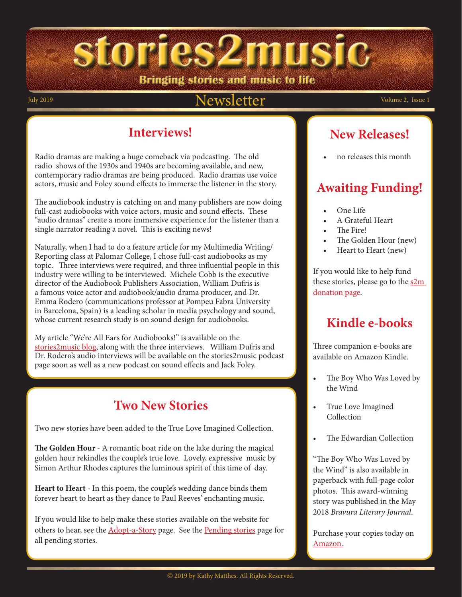stories2music Bringing stories and music to life

#### July 2019 **Volume 2, Issue 1**  $\text{Newsletter}$  Volume 2, Issue 1

#### **Interviews!**

Radio dramas are making a huge comeback via podcasting. The old radio shows of the 1930s and 1940s are becoming available, and new, contemporary radio dramas are being produced. Radio dramas use voice actors, music and Foley sound effects to immerse the listener in the story.

The audiobook industry is catching on and many publishers are now doing full-cast audiobooks with voice actors, music and sound effects. These "audio dramas" create a more immersive experience for the listener than a single narrator reading a novel. This is exciting news!

Naturally, when I had to do a feature article for my Multimedia Writing/ Reporting class at Palomar College, I chose full-cast audiobooks as my topic. Three interviews were required, and three influential people in this industry were willing to be interviewed. Michele Cobb is the executive director of the Audiobook Publishers Association, William Dufris is a famous voice actor and audiobook/audio drama producer, and Dr. Emma Rodero (communications professor at Pompeu Fabra University in Barcelona, Spain) is a leading scholar in media psychology and sound, whose current research study is on sound design for audiobooks.

My article "We're All Ears for Audiobooks!" is available on the [stories2music blog,](http://kmatthes.edublogs.org/) along with the three interviews. William Dufris and Dr. Rodero's audio interviews will be available on the stories2music podcast page soon as well as a new podcast on sound effects and Jack Foley.

#### **Two New Stories**

Two new stories have been added to the True Love Imagined Collection.

**The Golden Hour** - A romantic boat ride on the lake during the magical golden hour rekindles the couple's true love. Lovely, expressive music by Simon Arthur Rhodes captures the luminous spirit of this time of day.

**Heart to Heart** - In this poem, the couple's wedding dance binds them forever heart to heart as they dance to Paul Reeves' enchanting music.

If you would like to help make these stories available on the website for others to hear, see the **Adopt-a-Story** page. See the **[Pending stories](http://www.stories2music.com/collections/true_love_collection/true_love_imagined_pending.html)** page for all pending stories.

#### **New Releases!**

• no releases this month

#### **Awaiting Funding!**

- One Life
- A Grateful Heart
- The Fire!
- The Golden Hour (new)
- Heart to Heart (new)

If you would like to help fund these stories, please go to the  $s2m$ donation page.

#### **Kindle e-books**

Three companion e-books are available on Amazon Kindle.

- The Boy Who Was Loved by the Wind
- True Love Imagined Collection
- The Edwardian Collection

"The Boy Who Was Loved by the Wind" is also available in paperback with full-page color photos. This award-winning story was published in the May 2018 *Bravura Literary Journal*.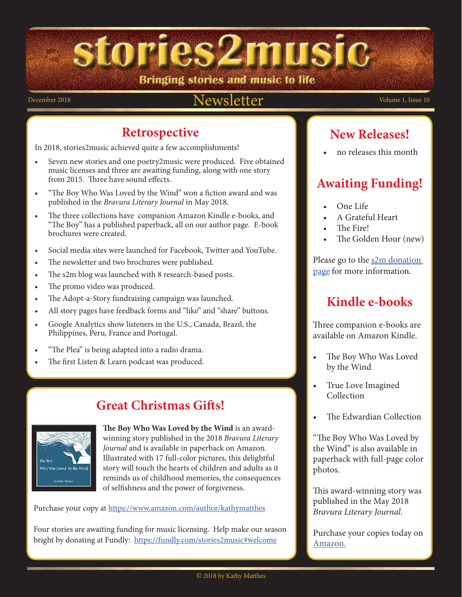Bringing stories and music to life

#### December 2018 Volume 1, Issue 10

#### **Retrospective**

In 2018, stories2music achieved quite a few accomplishments!

- Seven new stories and one poetry2music were produced. Five obtained music licenses and three are awaiting funding, along with one story from 2015. Three have sound effects.
- "The Boy Who Was Loved by the Wind" won a fiction award and was published in the *Bravura Literary Journal* in May 2018.
- The three collections have companion Amazon Kindle e-books, and "The Boy" has a published paperback, all on our author page. E-book brochures were created.
- Social media sites were launched for Facebook, Twitter and YouTube.
- The newsletter and two brochures were published.
- The s2m blog was launched with 8 research-based posts.
- The promo video was produced.
- The Adopt-a-Story fundraising campaign was launched.
- All story pages have feedback forms and "like" and "share" buttons.
- Google Analytics show listeners in the U.S., Canada, Brazil, the Philippines, Peru, France and Portugal.
- "The Plea" is being adapted into a radio drama.
- The first Listen & Learn podcast was produced.

#### **Great Christmas Gifts!**



**The Boy Who Was Loved by the Wind** is an awardwinning story published in the 2018 *Bravura Literary Journal* and is available in paperback on Amazon*.*  Illustrated with 17 full-color pictures, this delightful story will touch the hearts of children and adults as it reminds us of childhood memories, the consequences of selfishness and the power of forgiveness.

Purchase your copy at https://www.amazon.com/author/kathymatthes

Four stories are awaiting funding for music licensing. Help make our season bright by donating at Fundly: <https://fundly.com/stories2music#welcome>

#### **New Releases!**

• no releases this month

#### **Awaiting Funding!**

- One Life
- A Grateful Heart
- The Fire!
- The Golden Hour (new)

Please go to the s2m donation page for more information.

#### **Kindle e-books**

Three companion e-books are available on Amazon Kindle.

- The Boy Who Was Loved by the Wind
- True Love Imagined Collection
- The Edwardian Collection

"The Boy Who Was Loved by the Wind" is also available in paperback with full-page color photos.

This award-winning story was published in the May 2018 *Bravura Literary Journal*.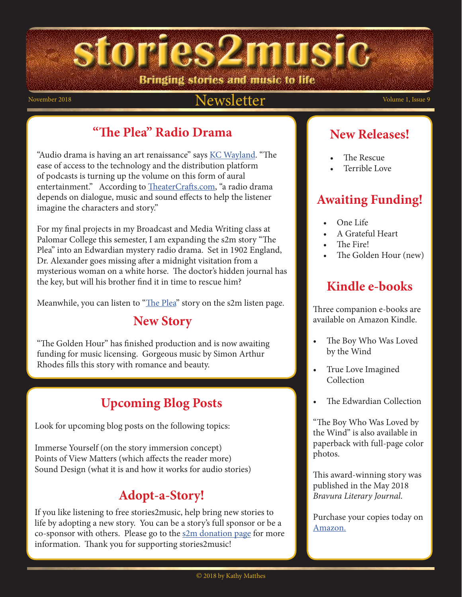siories2music Bringing stories and music to life

#### November 2018 Volume 1, Issue 9

#### **"The Plea" Radio Drama**

"Audio drama is having an art renaissance" says **[KC Wayland](https://www.wayland.ws/types-audio-dramas/)**. "The ease of access to the technology and the distribution platform of podcasts is turning up the volume on this form of aural entertainment." According to [TheaterCrafts.com](http://www.theatrecrafts.com/pages/home/topics/sound/radio-drama/), "a radio drama depends on dialogue, music and sound effects to help the listener imagine the characters and story."

For my final projects in my Broadcast and Media Writing class at Palomar College this semester, I am expanding the s2m story "The Plea" into an Edwardian mystery radio drama. Set in 1902 England, Dr. Alexander goes missing after a midnight visitation from a mysterious woman on a white horse. The doctor's hidden journal has the key, but will his brother find it in time to rescue him?

Meanwhile, you can listen to ["The Plea](http://www.stories2music.com/Stories/the_plea/the_plea.html)" story on the s2m listen page.

#### **New Story**

"The Golden Hour" has finished production and is now awaiting funding for music licensing. Gorgeous music by Simon Arthur Rhodes fills this story with romance and beauty.

#### **Upcoming Blog Posts**

Look for upcoming blog posts on the following topics:

Immerse Yourself (on the story immersion concept) Points of View Matters (which affects the reader more) Sound Design (what it is and how it works for audio stories)

#### **Adopt-a-Story!**

If you like listening to free stories2music, help bring new stories to life by adopting a new story. You can be a story's full sponsor or be a co-sponsor with others. Please go to the  $s2m$  donation page for more information. Thank you for supporting stories2music!

#### **New Releases!**

- The Rescue
- Terrible Love

#### **Awaiting Funding!**

- One Life
- A Grateful Heart
- The Fire!
- The Golden Hour (new)

#### **Kindle e-books**

Three companion e-books are available on Amazon Kindle.

- The Boy Who Was Loved by the Wind
- True Love Imagined Collection
- The Edwardian Collection

"The Boy Who Was Loved by the Wind" is also available in paperback with full-page color photos.

This award-winning story was published in the May 2018 *Bravura Literary Journal*.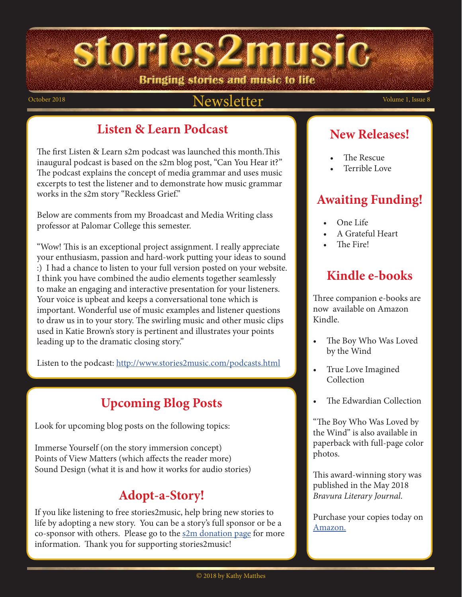siories2music Bringing stories and music to life

#### October 2018 Volume 1, Issue 8

#### **Listen & Learn Podcast**

The first Listen & Learn s2m podcast was launched this month.This inaugural podcast is based on the s2m blog post, "Can You Hear it?" The podcast explains the concept of media grammar and uses music excerpts to test the listener and to demonstrate how music grammar works in the s2m story "Reckless Grief."

Below are comments from my Broadcast and Media Writing class professor at Palomar College this semester.

"Wow! This is an exceptional project assignment. I really appreciate your enthusiasm, passion and hard-work putting your ideas to sound :) I had a chance to listen to your full version posted on your website. I think you have combined the audio elements together seamlessly to make an engaging and interactive presentation for your listeners. Your voice is upbeat and keeps a conversational tone which is important. Wonderful use of music examples and listener questions to draw us in to your story. The swirling music and other music clips used in Katie Brown's story is pertinent and illustrates your points leading up to the dramatic closing story."

Listen to the podcast:<http://www.stories2music.com/podcasts.html>

## **Upcoming Blog Posts**

Look for upcoming blog posts on the following topics:

Immerse Yourself (on the story immersion concept) Points of View Matters (which affects the reader more) Sound Design (what it is and how it works for audio stories)

### **Adopt-a-Story!**

If you like listening to free stories2music, help bring new stories to life by adopting a new story. You can be a story's full sponsor or be a co-sponsor with others. Please go to the  $s2m$  donation page for more information. Thank you for supporting stories2music!

#### **New Releases!**

- The Rescue
- Terrible Love

#### **Awaiting Funding!**

- One Life
- A Grateful Heart
- The Fire!

## **Kindle e-books**

Three companion e-books are now available on Amazon Kindle.

- The Boy Who Was Loved by the Wind
- True Love Imagined Collection
- The Edwardian Collection

"The Boy Who Was Loved by the Wind" is also available in paperback with full-page color photos.

This award-winning story was published in the May 2018 *Bravura Literary Journal*.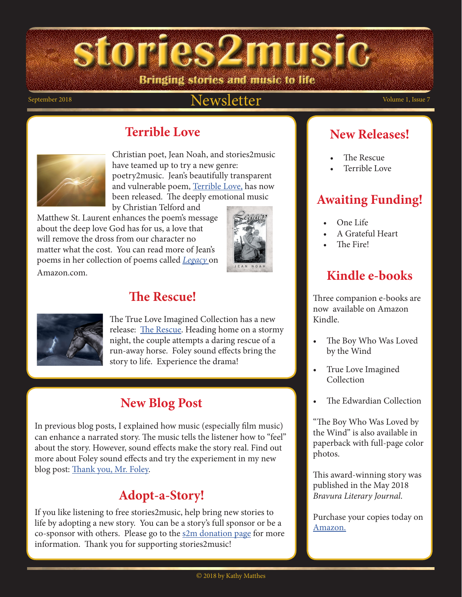Bringing stories and music to life

#### September 2018 Volume 1, Issue 7

#### **Terrible Love**



Christian poet, Jean Noah, and stories2music have teamed up to try a new genre: poetry2music. Jean's beautifully transparent and vulnerable poem, Terrible Love, has now been released. The deeply emotional music by Christian Telford and

Matthew St. Laurent enhances the poem's message about the deep love God has for us, a love that will remove the dross from our character no matter what the cost. You can read more of Jean's poems in her collection of poems called *Legacy* on

Amazon.com.

## **The Rescue!**



The True Love Imagined Collection has a new release: The Rescue. Heading home on a stormy night, the couple attempts a daring rescue of a run-away horse. Foley sound effects bring the story to life. Experience the drama!

#### **New Blog Post**

In previous blog posts, I explained how music (especially film music) can enhance a narrated story. The music tells the listener how to "feel" about the story. However, sound effects make the story real. Find out more about Foley sound effects and try the experiement in my new blog post: Thank you, Mr. Foley.

#### **Adopt-a-Story!**

If you like listening to free stories2music, help bring new stories to life by adopting a new story. You can be a story's full sponsor or be a co-sponsor with others. Please go to the  $s2m$  donation page for more information. Thank you for supporting stories2music!

#### **New Releases!**

- The Rescue
- Terrible Love

#### **Awaiting Funding!**

- One Life
- A Grateful Heart
- The Fire!

#### **Kindle e-books**

Three companion e-books are now available on Amazon Kindle.

- The Boy Who Was Loved by the Wind
- True Love Imagined Collection
- The Edwardian Collection

"The Boy Who Was Loved by the Wind" is also available in paperback with full-page color photos.

This award-winning story was published in the May 2018 *Bravura Literary Journal*.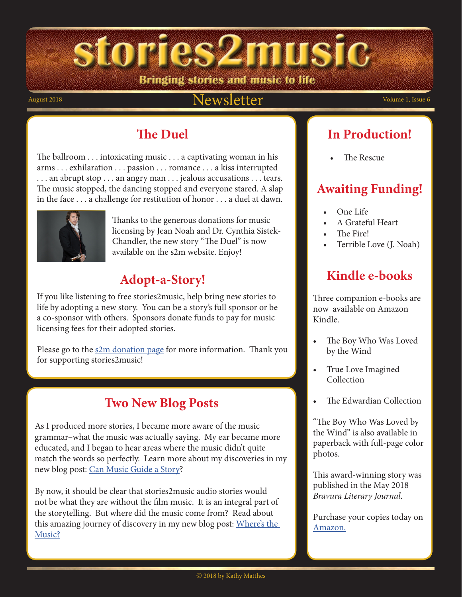Bringing stories and music to life

#### August 2018  $Newsletter$  Volume 1, Issue 6

#### **The Duel**

The ballroom . . . intoxicating music . . . a captivating woman in his arms . . . exhilaration . . . passion . . . romance . . . a kiss interrupted . . . an abrupt stop . . . an angry man . . . jealous accusations . . . tears. The music stopped, the dancing stopped and everyone stared. A slap in the face . . . a challenge for restitution of honor . . . a duel at dawn.



Thanks to the generous donations for music licensing by Jean Noah and Dr. Cynthia Sistek-Chandler, the new story "The Duel" is now available on the s2m website. Enjoy!

#### **Adopt-a-Story!**

If you like listening to free stories2music, help bring new stories to life by adopting a new story. You can be a story's full sponsor or be a co-sponsor with others. Sponsors donate funds to pay for music licensing fees for their adopted stories.

Please go to the s2m donation page for more information. Thank you for supporting stories2music!

#### **Two New Blog Posts**

As I produced more stories, I became more aware of the music grammar–what the music was actually saying. My ear became more educated, and I began to hear areas where the music didn't quite match the words so perfectly. Learn more about my discoveries in my new blog post: [Can Music Guide a Story](http://kmatthes.edublogs.org/2018/07/03/the-music-guides-the-story/#.W2ecELBKgUQ)?

By now, it should be clear that stories2music audio stories would not be what they are without the film music. It is an integral part of the storytelling. But where did the music come from? Read about this amazing journey of discovery in my new blog post: [Where's the](http://kmatthes.edublogs.org/2018/07/08/wheres-the-music/#.W2ec-LBKgUQ)  [Music?](http://kmatthes.edublogs.org/2018/07/08/wheres-the-music/#.W2ec-LBKgUQ)

#### **In Production!**

• The Rescue

#### **Awaiting Funding!**

- One Life
- A Grateful Heart
- The Fire!
- Terrible Love (J. Noah)

#### **Kindle e-books**

Three companion e-books are now available on Amazon Kindle.

- The Boy Who Was Loved by the Wind
- True Love Imagined Collection
- The Edwardian Collection

"The Boy Who Was Loved by the Wind" is also available in paperback with full-page color photos.

This award-winning story was published in the May 2018 *Bravura Literary Journal*.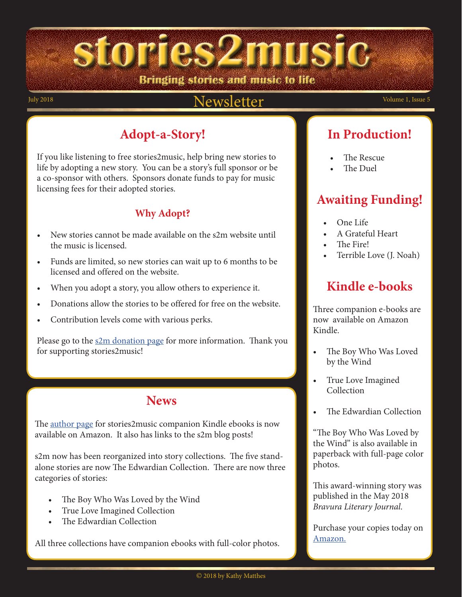## Bringing stories and music to life

stories2music

#### July 2018 Volume 1, Issue 5 Newsletter  $News$

#### **Adopt-a-Story!**

If you like listening to free stories2music, help bring new stories to life by adopting a new story. You can be a story's full sponsor or be a co-sponsor with others. Sponsors donate funds to pay for music licensing fees for their adopted stories.

#### **Why Adopt?**

- New stories cannot be made available on the s2m website until the music is licensed.
- Funds are limited, so new stories can wait up to 6 months to be licensed and offered on the website.
- When you adopt a story, you allow others to experience it.
- Donations allow the stories to be offered for free on the website.
- Contribution levels come with various perks.

Please go to the <u>s2m donation page</u> for more information. Thank you for supporting stories2music!

#### **News**

The [author page](https://www.amazon.com/default/e/B078G5862S/ref=dp_byline_cont_book_1?redirectedFromKindleDbs=true) for stories2music companion Kindle ebooks is now available on Amazon. It also has links to the s2m blog posts!

s2m now has been reorganized into story collections. The five standalone stories are now The Edwardian Collection. There are now three categories of stories:

- The Boy Who Was Loved by the Wind
- True Love Imagined Collection
- The Edwardian Collection

All three collections have companion ebooks with full-color photos.

## **In Production!**

- The Rescue
- The Duel

#### **Awaiting Funding!**

- One Life
- A Grateful Heart
- The Fire!
- Terrible Love (J. Noah)

#### **Kindle e-books**

Three companion e-books are now available on Amazon Kindle.

- The Boy Who Was Loved by the Wind
- True Love Imagined Collection
- The Edwardian Collection

"The Boy Who Was Loved by the Wind" is also available in paperback with full-page color photos.

This award-winning story was published in the May 2018 *Bravura Literary Journal*.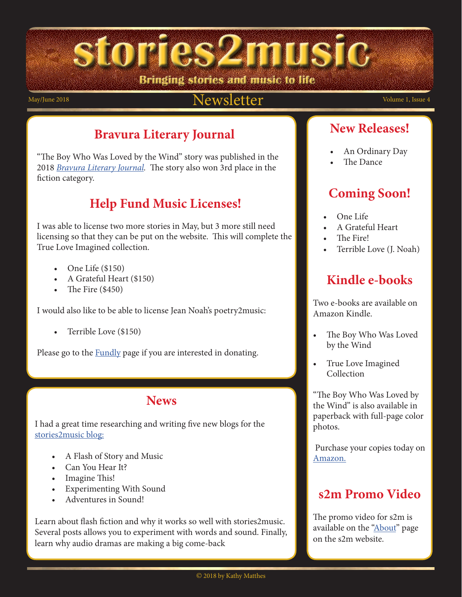Bringing stories and music to life

### May/June 2018 Volume 1, Issue 4

#### **Bravura Literary Journal**

"The Boy Who Was Loved by the Wind" story was published in the 2018 *[Bravura Literary Journal.](https://www2.palomar.edu/pages/english/files/2018/05/2018-Bravura.pdf)* The story also won 3rd place in the fiction category.

#### **Help Fund Music Licenses!**

I was able to license two more stories in May, but 3 more still need licensing so that they can be put on the website. This will complete the True Love Imagined collection.

- One Life  $(\$150)$
- A Grateful Heart (\$150)
- The Fire  $(\$450)$

I would also like to be able to license Jean Noah's poetry2music:

• Terrible Love (\$150)

Please go to the **Fundly** page if you are interested in donating.

#### **News**

I had a great time researching and writing five new blogs for the [stories2music blog:](http://kmatthes.edublogs.org/)

- A Flash of Story and Music
- Can You Hear It?
- Imagine This!
- **Experimenting With Sound**
- Adventures in Sound!

Learn about flash fiction and why it works so well with stories2music. Several posts allows you to experiment with words and sound. Finally, learn why audio dramas are making a big come-back

#### **New Releases!**

- An Ordinary Day
- The Dance

#### **Coming Soon!**

- One Life
- A Grateful Heart
- The Fire!
- Terrible Love (J. Noah)

#### **Kindle e-books**

Two e-books are available on Amazon Kindle.

- The Boy Who Was Loved by the Wind
- True Love Imagined Collection

"The Boy Who Was Loved by the Wind" is also available in paperback with full-page color photos.

 Purchase your copies today on [Amazon.](https://www.amazon.com/Kathy-Matthes/e/B078G5862S/ref=dp_byline_cont_ebooks_1)

#### **s2m Promo Video**

The promo video for s2m is available on the ["About](http://www.stories2music.com/about_s2m.html)" page on the s2m website.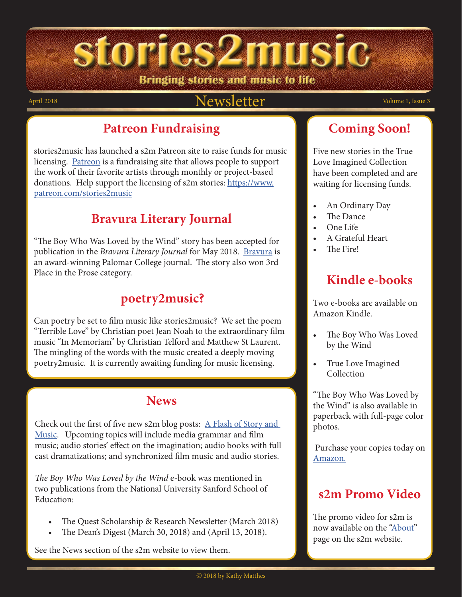stories2music Bringing stories and music to life

#### April 2018 Volume 1, Issue 3 Newsletter  $Newsletter$

#### **Patreon Fundraising**

stories2music has launched a s2m Patreon site to raise funds for music licensing. [Patreon](https://www.patreon.com/) is a fundraising site that allows people to support the work of their favorite artists through monthly or project-based donations. Help support the licensing of s2m stories: [https://www.](https://www.patreon.com/stories2music
) [patreon.com/stories2music](https://www.patreon.com/stories2music
)

#### **Bravura Literary Journal**

"The Boy Who Was Loved by the Wind" story has been accepted for publication in the *Bravura Literary Journal* for May 2018. [Bravura](https://www2.palomar.edu/pages/english/bravura-the-literary-journal-of-palomar-college/) is an award-winning Palomar College journal. The story also won 3rd Place in the Prose category.

#### **poetry2music?**

Can poetry be set to film music like stories2music? We set the poem "Terrible Love" by Christian poet Jean Noah to the extraordinary film music "In Memoriam" by Christian Telford and Matthew St Laurent. The mingling of the words with the music created a deeply moving poetry2music. It is currently awaiting funding for music licensing.

#### **News**

Check out the first of five new s2m blog posts:  $\Delta$  Flash of Story and [Music](http://kmatthes.edublogs.org/). Upcoming topics will include media grammar and film music; audio stories' effect on the imagination; audio books with full cast dramatizations; and synchronized film music and audio stories.

*The Boy Who Was Loved by the Wind* e-book was mentioned in two publications from the National University Sanford School of Education:

- The Quest Scholarship & Research Newsletter (March 2018)
- The Dean's Digest (March 30, 2018) and (April 13, 2018).

See the News section of the s2m website to view them.

#### **Coming Soon!**

Five new stories in the True Love Imagined Collection have been completed and are waiting for licensing funds.

- An Ordinary Day
- The Dance
- One Life
- A Grateful Heart
- The Fire!

#### **Kindle e-books**

Two e-books are available on Amazon Kindle.

- The Boy Who Was Loved by the Wind
- True Love Imagined Collection

"The Boy Who Was Loved by the Wind" is also available in paperback with full-page color photos.

 Purchase your copies today on [Amazon.](https://www.amazon.com/Kathy-Matthes/e/B078G5862S/ref=dp_byline_cont_ebooks_1)

#### **s2m Promo Video**

The promo video for s2m is now available on the ["About](http://www.stories2music.com/about_s2m.html)" page on the s2m website.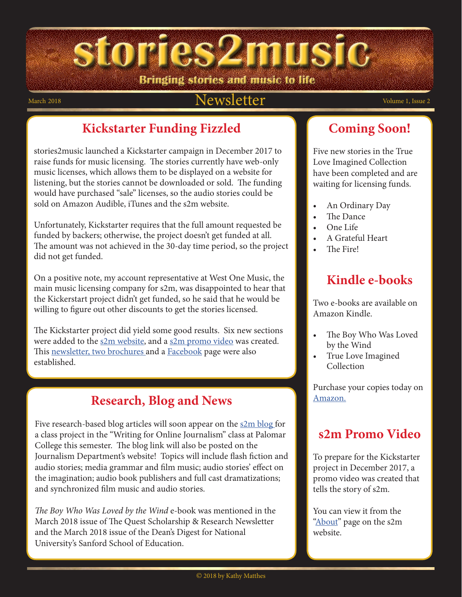Bringing stories and music to life

#### March 2018  $Newsletter$  Volume 1, Issue 2

#### **Kickstarter Funding Fizzled**

stories2music launched a Kickstarter campaign in December 2017 to raise funds for music licensing. The stories currently have web-only music licenses, which allows them to be displayed on a website for listening, but the stories cannot be downloaded or sold. The funding would have purchased "sale" licenses, so the audio stories could be sold on Amazon Audible, iTunes and the s2m website.

Unfortunately, Kickstarter requires that the full amount requested be funded by backers; otherwise, the project doesn't get funded at all. The amount was not achieved in the 30-day time period, so the project did not get funded.

On a positive note, my account representative at West One Music, the main music licensing company for s2m, was disappointed to hear that the Kickerstart project didn't get funded, so he said that he would be willing to figure out other discounts to get the stories licensed.

The Kickstarter project did yield some good results. Six new sections were added to the [s2m website,](http://www.stories2music.com/index.html) and a [s2m promo video](http://www.stories2music.com/promo_video.html) was created. This [newsletter, two brochures](http://www.stories2music.com/publications.html) and a **Facebook** page were also established.

#### **Research, Blog and News**

Five research-based blog articles will soon appear on the <u>s2m blog</u> for a class project in the "Writing for Online Journalism" class at Palomar College this semester. The blog link will also be posted on the Journalism Department's website! Topics will include flash fiction and audio stories; media grammar and film music; audio stories' effect on the imagination; audio book publishers and full cast dramatizations; and synchronized film music and audio stories.

*The Boy Who Was Loved by the Wind* e-book was mentioned in the March 2018 issue of The Quest Scholarship & Research Newsletter and the March 2018 issue of the Dean's Digest for National University's Sanford School of Education.

#### **Coming Soon!**

Five new stories in the True Love Imagined Collection have been completed and are waiting for licensing funds.

- An Ordinary Day
- The Dance
- One Life
- A Grateful Heart
- The Fire!

#### **Kindle e-books**

Two e-books are available on Amazon Kindle.

- The Boy Who Was Loved by the Wind
- True Love Imagined Collection

Purchase your copies today on [Amazon.](https://www.amazon.com/Kathy-Matthes/e/B078G5862S/ref=dp_byline_cont_ebooks_1)

#### **s2m Promo Video**

To prepare for the Kickstarter project in December 2017, a promo video was created that tells the story of s2m.

You can view it from the "**About**" page on the s2m website.